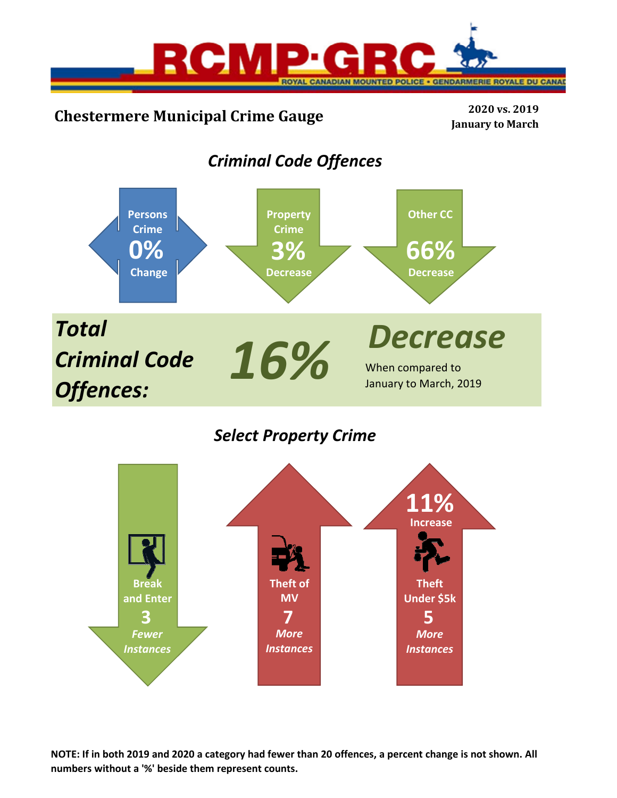

# **Chestermere Municipal Crime Gauge <sup>2020</sup> vs. <sup>2019</sup>**

**January to March**

## *Criminal Code Offences*



*Select Property Crime*



**NOTE: If in both 2019 and 2020 a category had fewer than 20 offences, a percent change is not shown. All numbers without a '%' beside them represent counts.**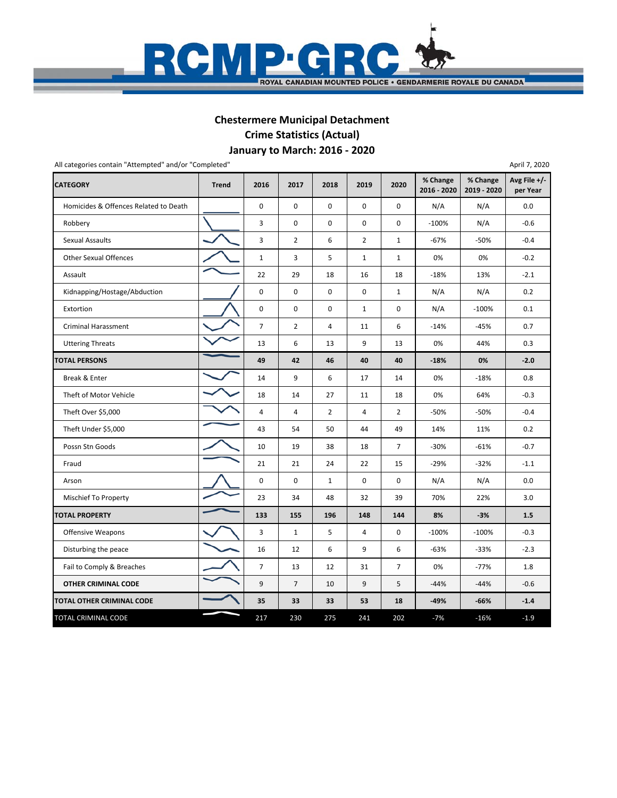

## **January to March: 2016 ‐ 2020 Chestermere Municipal Detachment Crime Statistics (Actual)**

| All categories contain "Attempted" and/or "Completed" |              |                |                |                |                |                |                         |                         | April 7, 2020              |
|-------------------------------------------------------|--------------|----------------|----------------|----------------|----------------|----------------|-------------------------|-------------------------|----------------------------|
| <b>CATEGORY</b>                                       | <b>Trend</b> | 2016           | 2017           | 2018           | 2019           | 2020           | % Change<br>2016 - 2020 | % Change<br>2019 - 2020 | Avg File $+/-$<br>per Year |
| Homicides & Offences Related to Death                 |              | 0              | 0              | $\mathbf 0$    | 0              | $\mathbf 0$    | N/A                     | N/A                     | 0.0                        |
| Robbery                                               |              | 3              | 0              | $\mathbf 0$    | $\Omega$       | 0              | $-100%$                 | N/A                     | $-0.6$                     |
| Sexual Assaults                                       |              | 3              | $\overline{2}$ | 6              | $\overline{2}$ | $\mathbf{1}$   | $-67%$                  | $-50%$                  | $-0.4$                     |
| <b>Other Sexual Offences</b>                          |              | $\mathbf{1}$   | 3              | 5              | $\mathbf{1}$   | $\mathbf{1}$   | 0%                      | 0%                      | $-0.2$                     |
| Assault                                               |              | 22             | 29             | 18             | 16             | 18             | $-18%$                  | 13%                     | $-2.1$                     |
| Kidnapping/Hostage/Abduction                          |              | 0              | 0              | $\mathbf 0$    | 0              | $\mathbf{1}$   | N/A                     | N/A                     | 0.2                        |
| Extortion                                             |              | 0              | 0              | $\mathbf 0$    | $\mathbf{1}$   | 0              | N/A                     | $-100%$                 | 0.1                        |
| <b>Criminal Harassment</b>                            |              | $\overline{7}$ | $\overline{2}$ | 4              | 11             | 6              | $-14%$                  | $-45%$                  | 0.7                        |
| <b>Uttering Threats</b>                               |              | 13             | 6              | 13             | 9              | 13             | 0%                      | 44%                     | 0.3                        |
| <b>TOTAL PERSONS</b>                                  |              | 49             | 42             | 46             | 40             | 40             | $-18%$                  | 0%                      | $-2.0$                     |
| Break & Enter                                         |              | 14             | 9              | 6              | 17             | 14             | 0%                      | $-18%$                  | 0.8                        |
| Theft of Motor Vehicle                                |              | 18             | 14             | 27             | 11             | 18             | 0%                      | 64%                     | $-0.3$                     |
| Theft Over \$5,000                                    |              | 4              | 4              | $\overline{2}$ | 4              | $\overline{2}$ | $-50%$                  | $-50%$                  | $-0.4$                     |
| Theft Under \$5,000                                   |              | 43             | 54             | 50             | 44             | 49             | 14%                     | 11%                     | 0.2                        |
| Possn Stn Goods                                       |              | 10             | 19             | 38             | 18             | $\overline{7}$ | $-30%$                  | $-61%$                  | $-0.7$                     |
| Fraud                                                 |              | 21             | 21             | 24             | 22             | 15             | $-29%$                  | $-32%$                  | $-1.1$                     |
| Arson                                                 |              | 0              | $\mathbf 0$    | $\mathbf{1}$   | 0              | $\mathbf 0$    | N/A                     | N/A                     | 0.0                        |
| <b>Mischief To Property</b>                           |              | 23             | 34             | 48             | 32             | 39             | 70%                     | 22%                     | 3.0                        |
| <b>TOTAL PROPERTY</b>                                 |              | 133            | 155            | 196            | 148            | 144            | 8%                      | $-3%$                   | 1.5                        |
| <b>Offensive Weapons</b>                              |              | 3              | $\mathbf{1}$   | 5              | $\overline{4}$ | 0              | $-100%$                 | $-100%$                 | $-0.3$                     |
| Disturbing the peace                                  |              | 16             | 12             | 6              | 9              | 6              | $-63%$                  | $-33%$                  | $-2.3$                     |
| Fail to Comply & Breaches                             |              | $\overline{7}$ | 13             | 12             | 31             | $\overline{7}$ | 0%                      | $-77%$                  | 1.8                        |
| <b>OTHER CRIMINAL CODE</b>                            |              | 9              | $\overline{7}$ | 10             | 9              | 5              | $-44%$                  | $-44%$                  | $-0.6$                     |
| TOTAL OTHER CRIMINAL CODE                             |              | 35             | 33             | 33             | 53             | 18             | $-49%$                  | $-66%$                  | $-1.4$                     |
| TOTAL CRIMINAL CODE                                   |              | 217            | 230            | 275            | 241            | 202            | $-7%$                   | $-16%$                  | $-1.9$                     |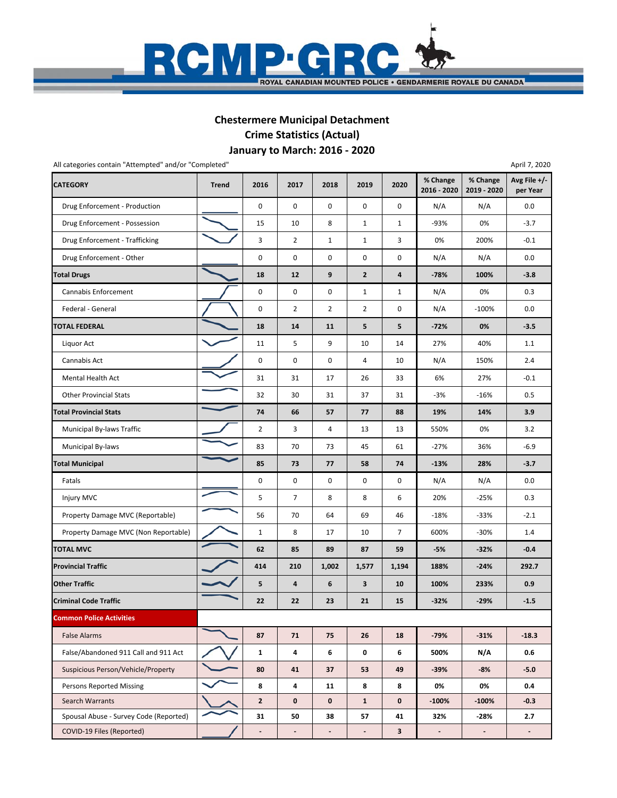

### **January to March: 2016 ‐ 2020 Chestermere Municipal Detachment Crime Statistics (Actual)**

| All categories contain "Attempted" and/or "Completed" |              |                |                          |                |                |              |                          |                         | April 7, 2020            |
|-------------------------------------------------------|--------------|----------------|--------------------------|----------------|----------------|--------------|--------------------------|-------------------------|--------------------------|
| <b>CATEGORY</b>                                       | <b>Trend</b> | 2016           | 2017                     | 2018           | 2019           | 2020         | % Change<br>2016 - 2020  | % Change<br>2019 - 2020 | Avg File +/-<br>per Year |
| Drug Enforcement - Production                         |              | $\mathsf 0$    | $\pmb{0}$                | $\pmb{0}$      | 0              | 0            | N/A                      | N/A                     | 0.0                      |
| Drug Enforcement - Possession                         |              | 15             | 10                       | 8              | $\mathbf{1}$   | $\mathbf{1}$ | $-93%$                   | 0%                      | $-3.7$                   |
| Drug Enforcement - Trafficking                        |              | 3              | $\overline{2}$           | $\mathbf{1}$   | $\mathbf{1}$   | 3            | 0%                       | 200%                    | $-0.1$                   |
| Drug Enforcement - Other                              |              | 0              | 0                        | 0              | 0              | 0            | N/A                      | N/A                     | 0.0                      |
| <b>Total Drugs</b>                                    |              | 18             | 12                       | 9              | $\overline{2}$ | 4            | $-78%$                   | 100%                    | $-3.8$                   |
| Cannabis Enforcement                                  |              | $\mathsf 0$    | $\mathbf 0$              | $\pmb{0}$      | $\mathbf{1}$   | $\mathbf{1}$ | N/A                      | 0%                      | 0.3                      |
| Federal - General                                     |              | 0              | 2                        | $\overline{2}$ | $\overline{2}$ | 0            | N/A                      | $-100%$                 | 0.0                      |
| <b>TOTAL FEDERAL</b>                                  |              | 18             | 14                       | 11             | 5              | 5            | $-72%$                   | 0%                      | $-3.5$                   |
| Liquor Act                                            |              | 11             | 5                        | 9              | 10             | 14           | 27%                      | 40%                     | 1.1                      |
| Cannabis Act                                          |              | 0              | 0                        | 0              | 4              | 10           | N/A                      | 150%                    | 2.4                      |
| <b>Mental Health Act</b>                              |              | 31             | 31                       | 17             | 26             | 33           | 6%                       | 27%                     | $-0.1$                   |
| <b>Other Provincial Stats</b>                         |              | 32             | 30                       | 31             | 37             | 31           | $-3%$                    | $-16%$                  | 0.5                      |
| <b>Total Provincial Stats</b>                         |              | 74             | 66                       | 57             | 77             | 88           | 19%                      | 14%                     | 3.9                      |
| Municipal By-laws Traffic                             |              | $\overline{2}$ | 3                        | 4              | 13             | 13           | 550%                     | 0%                      | 3.2                      |
| Municipal By-laws                                     |              | 83             | 70                       | 73             | 45             | 61           | $-27%$                   | 36%                     | $-6.9$                   |
| <b>Total Municipal</b>                                |              | 85             | 73                       | 77             | 58             | 74           | $-13%$                   | 28%                     | $-3.7$                   |
| Fatals                                                |              | $\mathsf 0$    | 0                        | 0              | 0              | 0            | N/A                      | N/A                     | 0.0                      |
| Injury MVC                                            |              | 5              | $\overline{7}$           | 8              | 8              | 6            | 20%                      | $-25%$                  | 0.3                      |
| Property Damage MVC (Reportable)                      |              | 56             | 70                       | 64             | 69             | 46           | $-18%$                   | $-33%$                  | $-2.1$                   |
| Property Damage MVC (Non Reportable)                  |              | $1\,$          | 8                        | 17             | 10             | 7            | 600%                     | $-30%$                  | 1.4                      |
| <b>TOTAL MVC</b>                                      |              | 62             | 85                       | 89             | 87             | 59           | -5%                      | $-32%$                  | $-0.4$                   |
| <b>Provincial Traffic</b>                             |              | 414            | 210                      | 1,002          | 1,577          | 1,194        | 188%                     | $-24%$                  | 292.7                    |
| <b>Other Traffic</b>                                  |              | 5              | 4                        | 6              | 3              | 10           | 100%                     | 233%                    | 0.9                      |
| <b>Criminal Code Traffic</b>                          |              | 22             | 22                       | 23             | 21             | 15           | $-32%$                   | $-29%$                  | $-1.5$                   |
| <b>Common Police Activities</b>                       |              |                |                          |                |                |              |                          |                         |                          |
| <b>False Alarms</b>                                   |              | 87             | 71                       | 75             | 26             | 18           | $-79%$                   | $-31%$                  | $-18.3$                  |
| False/Abandoned 911 Call and 911 Act                  |              | $\mathbf{1}$   | 4                        | 6              | 0              | 6            | 500%                     | N/A                     | 0.6                      |
| Suspicious Person/Vehicle/Property                    |              | 80             | 41                       | 37             | 53             | 49           | $-39%$                   | $-8%$                   | $-5.0$                   |
| <b>Persons Reported Missing</b>                       |              | 8              | 4                        | 11             | 8              | 8            | 0%                       | 0%                      | 0.4                      |
| Search Warrants                                       |              | $\overline{2}$ | $\mathbf 0$              | $\mathbf 0$    | $\mathbf{1}$   | $\mathbf 0$  | $-100%$                  | $-100%$                 | $-0.3$                   |
| Spousal Abuse - Survey Code (Reported)                |              | 31             | 50                       | 38             | 57             | 41           | 32%                      | -28%                    | 2.7                      |
| COVID-19 Files (Reported)                             |              |                | $\overline{\phantom{a}}$ | $\blacksquare$ | ٠              | $\mathbf{3}$ | $\overline{\phantom{a}}$ | $\blacksquare$          | $\blacksquare$           |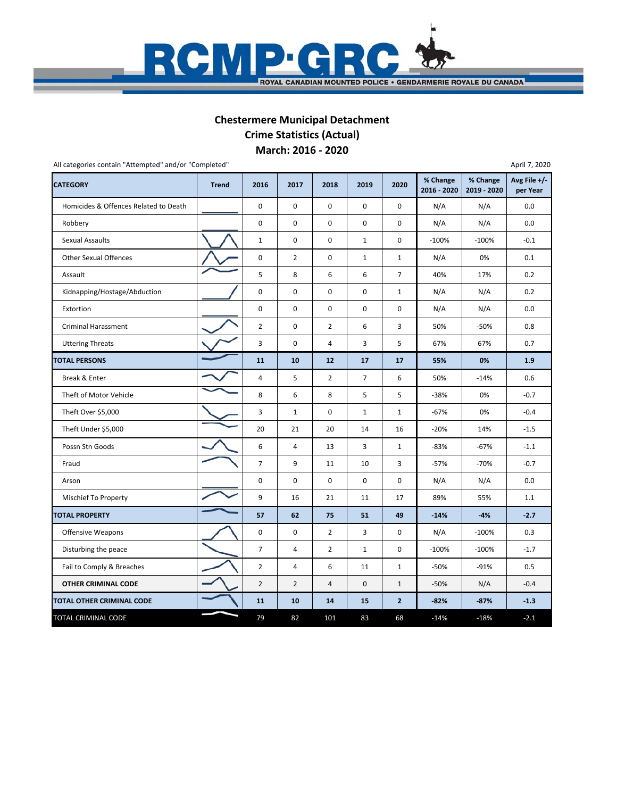

#### **March: 2016 ‐ 2020 Chestermere Municipal Detachment Crime Statistics (Actual)**

| <b>CATEGORY</b>                       | <b>Trend</b> | 2016           | 2017           | 2018           | 2019           | 2020           | % Change<br>2016 - 2020 | % Change<br>2019 - 2020 | Avg File +/-<br>per Year |
|---------------------------------------|--------------|----------------|----------------|----------------|----------------|----------------|-------------------------|-------------------------|--------------------------|
| Homicides & Offences Related to Death |              | $\pmb{0}$      | 0              | 0              | $\mathsf{o}$   | 0              | N/A                     | N/A                     | 0.0                      |
| Robbery                               |              | $\pmb{0}$      | 0              | 0              | $\pmb{0}$      | 0              | N/A                     | N/A                     | 0.0                      |
| <b>Sexual Assaults</b>                |              | $\mathbf 1$    | 0              | 0              | $\mathbf{1}$   | 0              | $-100%$                 | $-100%$                 | $-0.1$                   |
| <b>Other Sexual Offences</b>          |              | $\pmb{0}$      | $\overline{2}$ | 0              | $\mathbf{1}$   | $\mathbf{1}$   | N/A                     | 0%                      | 0.1                      |
| Assault                               |              | 5              | 8              | 6              | 6              | $\overline{7}$ | 40%                     | 17%                     | 0.2                      |
| Kidnapping/Hostage/Abduction          |              | $\pmb{0}$      | 0              | 0              | 0              | $\mathbf{1}$   | N/A                     | N/A                     | 0.2                      |
| Extortion                             |              | $\pmb{0}$      | 0              | $\mathbf 0$    | 0              | 0              | N/A                     | N/A                     | 0.0                      |
| <b>Criminal Harassment</b>            |              | $\overline{2}$ | 0              | $\overline{2}$ | 6              | 3              | 50%                     | $-50%$                  | 0.8                      |
| <b>Uttering Threats</b>               |              | 3              | 0              | 4              | 3              | 5              | 67%                     | 67%                     | 0.7                      |
| <b>TOTAL PERSONS</b>                  |              | 11             | 10             | 12             | 17             | 17             | 55%                     | 0%                      | 1.9                      |
| Break & Enter                         |              | 4              | 5              | $\overline{2}$ | $\overline{7}$ | 6              | 50%                     | $-14%$                  | 0.6                      |
| Theft of Motor Vehicle                |              | 8              | 6              | 8              | 5              | 5              | $-38%$                  | 0%                      | $-0.7$                   |
| Theft Over \$5,000                    |              | 3              | $1\,$          | $\mathbf 0$    | $\mathbf{1}$   | $\mathbf{1}$   | $-67%$                  | 0%                      | $-0.4$                   |
| Theft Under \$5,000                   |              | 20             | 21             | 20             | 14             | 16             | $-20%$                  | 14%                     | $-1.5$                   |
| Possn Stn Goods                       |              | 6              | 4              | 13             | 3              | $\mathbf{1}$   | $-83%$                  | $-67%$                  | $-1.1$                   |
| Fraud                                 |              | $\overline{7}$ | 9              | 11             | 10             | 3              | $-57%$                  | $-70%$                  | $-0.7$                   |
| Arson                                 |              | $\mathbf 0$    | 0              | $\mathbf 0$    | $\mathsf{o}$   | 0              | N/A                     | N/A                     | 0.0                      |
| Mischief To Property                  |              | 9              | 16             | 21             | 11             | 17             | 89%                     | 55%                     | 1.1                      |
| <b>TOTAL PROPERTY</b>                 |              | 57             | 62             | 75             | 51             | 49             | $-14%$                  | $-4%$                   | $-2.7$                   |
| <b>Offensive Weapons</b>              |              | 0              | 0              | $\overline{2}$ | 3              | 0              | N/A                     | $-100%$                 | 0.3                      |
| Disturbing the peace                  |              | $\overline{7}$ | 4              | $\overline{2}$ | $\mathbf{1}$   | 0              | $-100%$                 | $-100%$                 | $-1.7$                   |
| Fail to Comply & Breaches             |              | $\overline{2}$ | 4              | 6              | 11             | $\mathbf{1}$   | -50%                    | $-91%$                  | 0.5                      |
| OTHER CRIMINAL CODE                   |              | $\overline{2}$ | $\overline{2}$ | 4              | $\mathbf 0$    | $\mathbf{1}$   | $-50%$                  | N/A                     | $-0.4$                   |
| TOTAL OTHER CRIMINAL CODE             |              | 11             | 10             | 14             | 15             | $\overline{2}$ | $-82%$                  | $-87%$                  | $-1.3$                   |
| TOTAL CRIMINAL CODE                   |              | 79             | 82             | 101            | 83             | 68             | $-14%$                  | $-18%$                  | $-2.1$                   |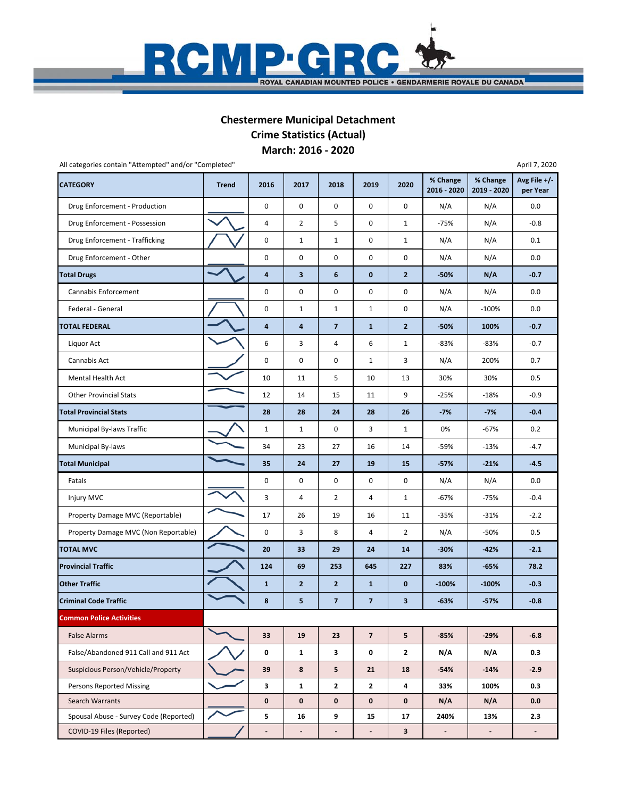

#### **March: 2016 ‐ 2020 Chestermere Municipal Detachment Crime Statistics (Actual)**

| All categories contain "Attempted" and/or "Completed" |              |                          |                              |                         |                         |                |                         |                         | April 7, 2020            |
|-------------------------------------------------------|--------------|--------------------------|------------------------------|-------------------------|-------------------------|----------------|-------------------------|-------------------------|--------------------------|
| <b>CATEGORY</b>                                       | <b>Trend</b> | 2016                     | 2017                         | 2018                    | 2019                    | 2020           | % Change<br>2016 - 2020 | % Change<br>2019 - 2020 | Avg File +/-<br>per Year |
| Drug Enforcement - Production                         |              | 0                        | 0                            | 0                       | 0                       | 0              | N/A                     | N/A                     | 0.0                      |
| Drug Enforcement - Possession                         |              | 4                        | $\overline{2}$               | 5                       | 0                       | $\mathbf{1}$   | $-75%$                  | N/A                     | $-0.8$                   |
| Drug Enforcement - Trafficking                        |              | 0                        | $\mathbf{1}$                 | $\mathbf{1}$            | 0                       | $\mathbf{1}$   | N/A                     | N/A                     | 0.1                      |
| Drug Enforcement - Other                              |              | 0                        | 0                            | 0                       | 0                       | 0              | N/A                     | N/A                     | 0.0                      |
| <b>Total Drugs</b>                                    |              | 4                        | $\overline{\mathbf{3}}$      | $\boldsymbol{6}$        | $\bf{0}$                | $\mathbf{2}$   | $-50%$                  | N/A                     | $-0.7$                   |
| Cannabis Enforcement                                  |              | 0                        | 0                            | 0                       | 0                       | 0              | N/A                     | N/A                     | 0.0                      |
| Federal - General                                     |              | 0                        | 1                            | $\mathbf{1}$            | $\mathbf{1}$            | 0              | N/A                     | $-100%$                 | 0.0                      |
| TOTAL FEDERAL                                         |              | 4                        | 4                            | $\overline{7}$          | $\mathbf{1}$            | $\overline{2}$ | $-50%$                  | 100%                    | $-0.7$                   |
| Liquor Act                                            |              | 6                        | 3                            | 4                       | 6                       | $\mathbf{1}$   | $-83%$                  | $-83%$                  | $-0.7$                   |
| Cannabis Act                                          |              | 0                        | 0                            | 0                       | $\mathbf{1}$            | 3              | N/A                     | 200%                    | 0.7                      |
| Mental Health Act                                     |              | 10                       | 11                           | 5                       | 10                      | 13             | 30%                     | 30%                     | 0.5                      |
| <b>Other Provincial Stats</b>                         |              | 12                       | 14                           | 15                      | 11                      | 9              | $-25%$                  | $-18%$                  | $-0.9$                   |
| <b>Total Provincial Stats</b>                         |              | 28                       | 28                           | 24                      | 28                      | 26             | $-7%$                   | $-7%$                   | $-0.4$                   |
| Municipal By-laws Traffic                             |              | $\mathbf{1}$             | 1                            | 0                       | 3                       | $\mathbf{1}$   | 0%                      | $-67%$                  | 0.2                      |
| Municipal By-laws                                     |              | 34                       | 23                           | 27                      | 16                      | 14             | -59%                    | $-13%$                  | $-4.7$                   |
| <b>Total Municipal</b>                                |              | 35                       | 24                           | 27                      | 19                      | 15             | $-57%$                  | $-21%$                  | $-4.5$                   |
| Fatals                                                |              | 0                        | 0                            | 0                       | 0                       | 0              | N/A                     | N/A                     | 0.0                      |
| Injury MVC                                            |              | 3                        | 4                            | $\overline{2}$          | 4                       | $\mathbf{1}$   | $-67%$                  | $-75%$                  | $-0.4$                   |
| Property Damage MVC (Reportable)                      |              | 17                       | 26                           | 19                      | 16                      | 11             | $-35%$                  | $-31%$                  | $-2.2$                   |
| Property Damage MVC (Non Reportable)                  |              | 0                        | 3                            | 8                       | 4                       | $\overline{2}$ | N/A                     | -50%                    | 0.5                      |
| <b>TOTAL MVC</b>                                      |              | 20                       | 33                           | 29                      | 24                      | 14             | $-30%$                  | $-42%$                  | $-2.1$                   |
| <b>Provincial Traffic</b>                             |              | 124                      | 69                           | 253                     | 645                     | 227            | 83%                     | $-65%$                  | 78.2                     |
| <b>Other Traffic</b>                                  |              | $\mathbf{1}$             | $\overline{2}$               | $\mathbf{2}$            | $\mathbf{1}$            | 0              | $-100%$                 | $-100%$                 | $-0.3$                   |
| <b>Criminal Code Traffic</b>                          |              | 8                        | 5                            | $\overline{\mathbf{z}}$ | $\overline{7}$          | 3              | $-63%$                  | $-57%$                  | $-0.8$                   |
| <b>Common Police Activities</b>                       |              |                          |                              |                         |                         |                |                         |                         |                          |
| <b>False Alarms</b>                                   |              | 33                       | 19                           | 23                      | $\overline{\mathbf{z}}$ | 5              | $-85%$                  | $-29%$                  | $-6.8$                   |
| False/Abandoned 911 Call and 911 Act                  |              | 0                        | $\mathbf{1}$                 | 3                       | 0                       | $\mathbf{2}$   | N/A                     | N/A                     | 0.3                      |
| Suspicious Person/Vehicle/Property                    |              | 39                       | 8                            | 5                       | 21                      | 18             | $-54%$                  | $-14%$                  | $-2.9$                   |
| <b>Persons Reported Missing</b>                       |              | 3                        | $\mathbf{1}$                 | $\mathbf{2}$            | $\mathbf{2}$            | 4              | 33%                     | 100%                    | 0.3                      |
| Search Warrants                                       |              | $\mathbf 0$              | $\mathbf 0$                  | $\mathbf 0$             | $\mathbf 0$             | 0              | N/A                     | N/A                     | 0.0                      |
| Spousal Abuse - Survey Code (Reported)                |              | 5                        | 16                           | 9                       | 15                      | 17             | 240%                    | 13%                     | 2.3                      |
| COVID-19 Files (Reported)                             |              | $\overline{\phantom{a}}$ | $\qquad \qquad \blacksquare$ | $\blacksquare$          | $\blacksquare$          | 3              | ۰                       | $\sim$                  | ٠.                       |